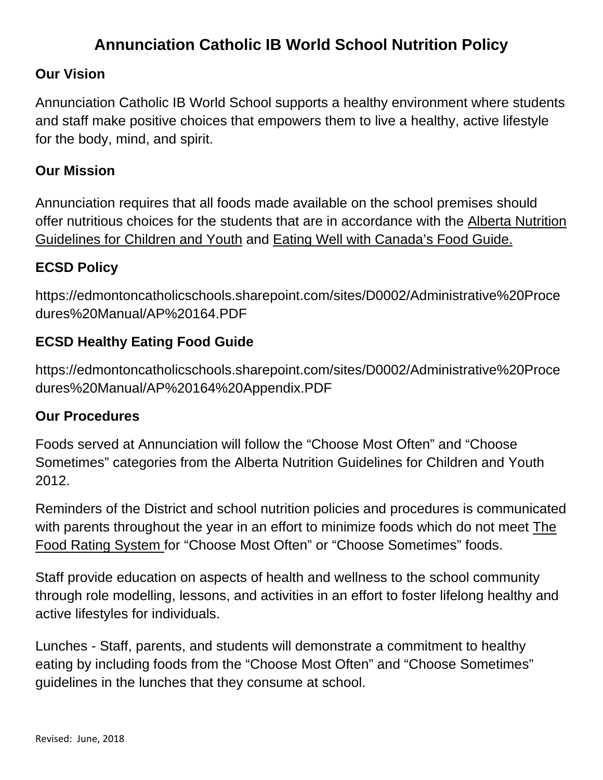# **Annunciation Catholic IB World School Nutrition Policy**

### **Our Vision**

Annunciation Catholic IB World School supports a healthy environment where students and staff make positive choices that empowers them to live a healthy, active lifestyle for the body, mind, and spirit.

### **Our Mission**

Annunciation requires that all foods made available on the school premises should offer nutritious choices for the students that are in accordance with the [Alberta Nutrition](https://open.alberta.ca/dataset/1c291796-4eb0-4073-be8e-bce2d331f9ce/resource/3319786c-1df1-43ca-8693-067f733682dc/download/nutrition-guidelines-ab-children-youth.pdf)  [Guidelines for Children and Youth](https://open.alberta.ca/dataset/1c291796-4eb0-4073-be8e-bce2d331f9ce/resource/3319786c-1df1-43ca-8693-067f733682dc/download/nutrition-guidelines-ab-children-youth.pdf) and [Eating Well with Canada's Food Guide.](https://www.canada.ca/en/health-canada/services/canada-food-guides.html)

## **ECSD Policy**

[https://edmontoncatholicschools.sharepoint.com/sites/D0002/Administrative%20Proce](https://edmontoncatholicschools.sharepoint.com/sites/D0002/Administrative%20Procedures%20Manual/AP%20164.PDF) [dures%20Manual/AP%20164.PDF](https://edmontoncatholicschools.sharepoint.com/sites/D0002/Administrative%20Procedures%20Manual/AP%20164.PDF)

## **ECSD Healthy Eating Food Guide**

https://edmontoncatholicschools.sharepoint.com/sites/D0002/Administrative%20Proce dures%20Manual/AP%20164%20Appendix.PDF

#### **Our Procedures**

Foods served at Annunciation will follow the "Choose Most Often" and "Choose Sometimes" categories from the Alberta Nutrition Guidelines for Children and Youth 2012.

Reminders of the District and school nutrition policies and procedures is communicated with parents throughout the year in an effort to minimize foods which do not meet The Food Rating System for "Choose Most Often" or "Choose Sometimes" foods.

Staff provide education on aspects of health and wellness to the school community through role modelling, lessons, and activities in an effort to foster lifelong healthy and active lifestyles for individuals.

Lunches - Staff, parents, and students will demonstrate a commitment to healthy eating by including foods from the "Choose Most Often" and "Choose Sometimes" guidelines in the lunches that they consume at school.